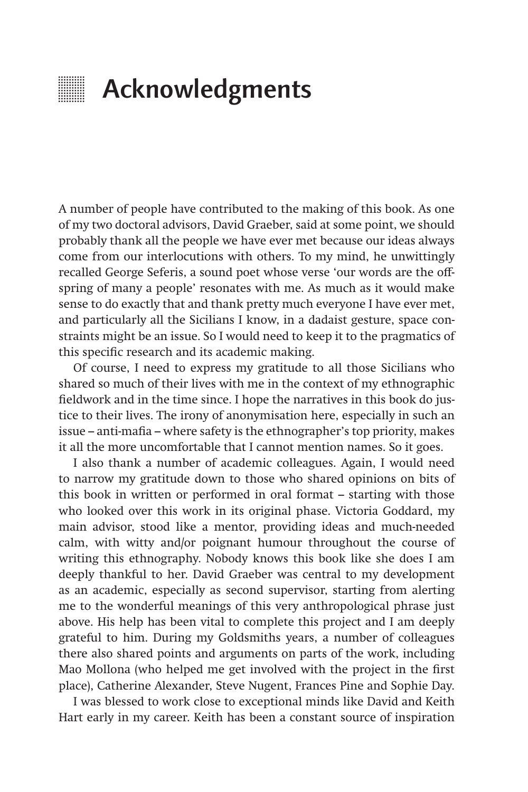## **EXECUTE:** Acknowledgments

A number of people have contributed to the making of this book. As one of my two doctoral advisors, David Graeber, said at some point, we should probably thank all the people we have ever met because our ideas always come from our interlocutions with others. To my mind, he unwittingly recalled George Seferis, a sound poet whose verse 'our words are the offspring of many a people' resonates with me. As much as it would make sense to do exactly that and thank pretty much everyone I have ever met, and particularly all the Sicilians I know, in a dadaist gesture, space constraints might be an issue. So I would need to keep it to the pragmatics of this specific research and its academic making.

Of course, I need to express my gratitude to all those Sicilians who shared so much of their lives with me in the context of my ethnographic fieldwork and in the time since. I hope the narratives in this book do justice to their lives. The irony of anonymisation here, especially in such an issue – anti-mafia – where safety is the ethnographer's top priority, makes it all the more uncomfortable that I cannot mention names. So it goes.

I also thank a number of academic colleagues. Again, I would need to narrow my gratitude down to those who shared opinions on bits of this book in written or performed in oral format – starting with those who looked over this work in its original phase. Victoria Goddard, my main advisor, stood like a mentor, providing ideas and much-needed calm, with witty and/or poignant humour throughout the course of writing this ethnography. Nobody knows this book like she does I am deeply thankful to her. David Graeber was central to my development as an academic, especially as second supervisor, starting from alerting me to the wonderful meanings of this very anthropological phrase just above. His help has been vital to complete this project and I am deeply grateful to him. During my Goldsmiths years, a number of colleagues there also shared points and arguments on parts of the work, including Mao Mollona (who helped me get involved with the project in the first place), Catherine Alexander, Steve Nugent, Frances Pine and Sophie Day.

I was blessed to work close to exceptional minds like David and Keith Hart early in my career. Keith has been a constant source of inspiration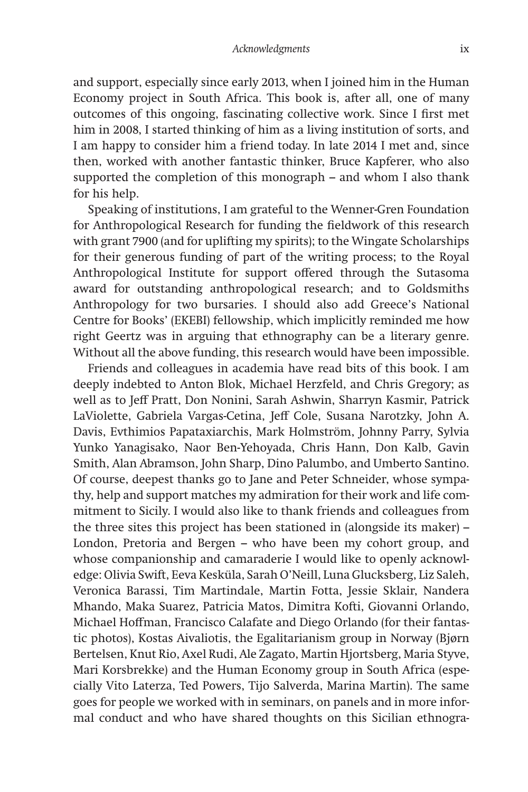and support, especially since early 2013, when I joined him in the Human Economy project in South Africa. This book is, after all, one of many outcomes of this ongoing, fascinating collective work. Since I first met him in 2008, I started thinking of him as a living institution of sorts, and I am happy to consider him a friend today. In late 2014 I met and, since then, worked with another fantastic thinker, Bruce Kapferer, who also supported the completion of this monograph – and whom I also thank for his help.

Speaking of institutions, I am grateful to the Wenner-Gren Foundation for Anthropological Research for funding the fieldwork of this research with grant 7900 (and for uplifting my spirits); to the Wingate Scholarships for their generous funding of part of the writing process; to the Royal Anthropological Institute for support offered through the Sutasoma award for outstanding anthropological research; and to Goldsmiths Anthropology for two bursaries. I should also add Greece's National Centre for Books' (EKEBI) fellowship, which implicitly reminded me how right Geertz was in arguing that ethnography can be a literary genre. Without all the above funding, this research would have been impossible.

Friends and colleagues in academia have read bits of this book. I am deeply indebted to Anton Blok, Michael Herzfeld, and Chris Gregory; as well as to Jeff Pratt, Don Nonini, Sarah Ashwin, Sharryn Kasmir, Patrick LaViolette, Gabriela Vargas-Cetina, Jeff Cole, Susana Narotzky, John A. Davis, Evthimios Papataxiarchis, Mark Holmström, Johnny Parry, Sylvia Yunko Yanagisako, Naor Ben-Yehoyada, Chris Hann, Don Kalb, Gavin Smith, Alan Abramson, John Sharp, Dino Palumbo, and Umberto Santino. Of course, deepest thanks go to Jane and Peter Schneider, whose sympathy, help and support matches my admiration for their work and life commitment to Sicily. I would also like to thank friends and colleagues from the three sites this project has been stationed in (alongside its maker) – London, Pretoria and Bergen – who have been my cohort group, and whose companionship and camaraderie I would like to openly acknowledge: Olivia Swift, Eeva Kesküla, Sarah O'Neill, Luna Glucksberg, Liz Saleh, Veronica Barassi, Tim Martindale, Martin Fotta, Jessie Sklair, Nandera Mhando, Maka Suarez, Patricia Matos, Dimitra Kofti, Giovanni Orlando, Michael Hoffman, Francisco Calafate and Diego Orlando (for their fantastic photos), Kostas Aivaliotis, the Egalitarianism group in Norway (Bjørn Bertelsen, Knut Rio, Axel Rudi, Ale Zagato, Martin Hjortsberg, Maria Styve, Mari Korsbrekke) and the Human Economy group in South Africa (especially Vito Laterza, Ted Powers, Tijo Salverda, Marina Martin). The same goes for people we worked with in seminars, on panels and in more informal conduct and who have shared thoughts on this Sicilian ethnogra